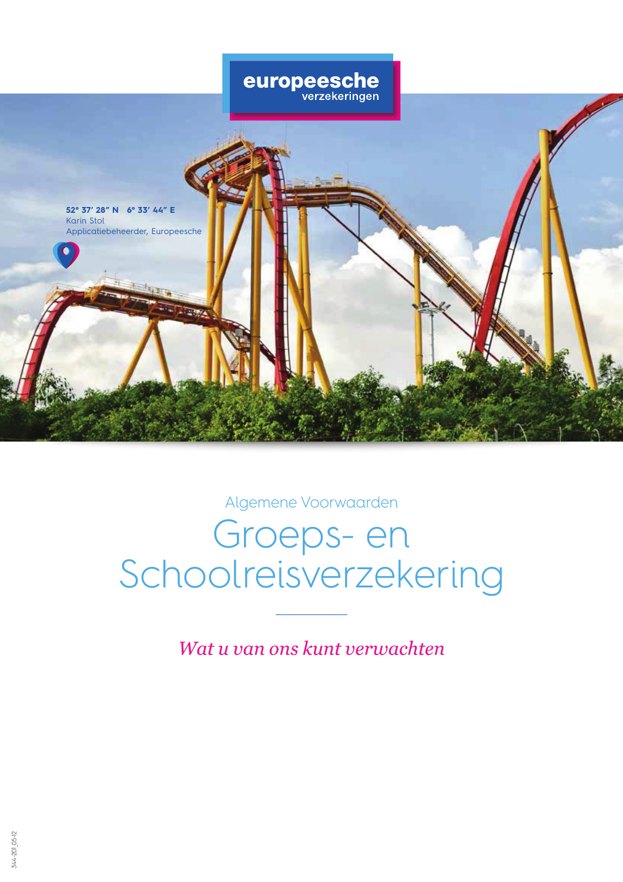

Algemene Voorwaarden

# Groeps- en Schoolreisverzekering

Wat u van ons kunt verwachten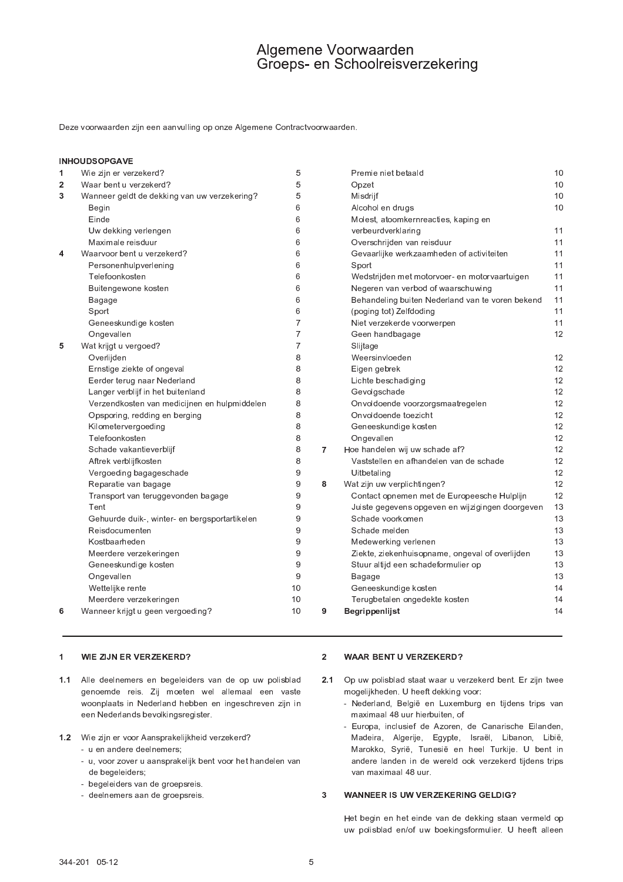Deze voorwaarden zijn een aanvulling op onze Algemene Contractvoorwaarden.

## **INHOUDSOPGAVE**

| 1              | Wie zijn er verzekerd?                        | 5                |   | Premie niet betaald                              | 10 |
|----------------|-----------------------------------------------|------------------|---|--------------------------------------------------|----|
| $\overline{2}$ | Waar bent u verzekerd?                        | 5                |   | Opzet                                            | 10 |
| 3              | Wanneer geldt de dekking van uw verzekering?  | 5                |   | Misdrijf                                         | 10 |
|                | Begin                                         | 6                |   | Alcohol en drugs                                 | 10 |
|                | Einde                                         | 6                |   | Molest, atoomkernreacties, kaping en             |    |
|                | Uw dekking verlengen                          | 6                |   | verbeurdverklaring                               | 11 |
|                | Maximale reisduur                             | 6                |   | Overschrijden van reisduur                       | 11 |
| 4              | Waarvoor bent u verzekerd?                    | 6                |   | Gevaarlijke werkzaamheden of activiteiten        | 11 |
|                | Personenhulpverlening                         | 6                |   | Sport                                            | 11 |
|                | Telefoonkosten                                | 6                |   | Wedstrijden met motorvoer- en motorvaartuigen    | 11 |
|                | Buitengewone kosten                           | 6                |   | Negeren van verbod of waarschuwing               | 11 |
|                | Bagage                                        | 6                |   | Behandeling buiten Nederland van te voren bekend | 11 |
|                | Sport                                         | 6                |   | (poging tot) Zelfdoding                          | 11 |
|                | Geneeskundige kosten                          | $\overline{7}$   |   | Niet verzekerde voorwerpen                       | 11 |
|                | Ongevallen                                    | 7                |   | Geen handbagage                                  | 12 |
| 5              | Wat krijgt u vergoed?                         | 7                |   | Slijtage                                         |    |
|                | Overlijden                                    | 8                |   | Weersinvloeden                                   | 12 |
|                | Ernstige ziekte of ongeval                    | 8                |   | Eigen gebrek                                     | 12 |
|                | Eerder terug naar Nederland                   | 8                |   | Lichte beschadiging                              | 12 |
|                | Langer verblijf in het buitenland             | 8                |   | Gevolgschade                                     | 12 |
|                | Verzendkosten van medicijnen en hulpmiddelen  | 8                |   | Onvoldoende voorzorgsmaatregelen                 | 12 |
|                | Opsporing, redding en berging                 | 8                |   | Onvoldoende toezicht                             | 12 |
|                | Kilometervergoeding                           | 8                |   | Geneeskundige kosten                             | 12 |
|                | Telefoonkosten                                | 8                |   | Ongevallen                                       | 12 |
|                | Schade vakantieverblijf                       | 8                | 7 | Hoe handelen wij uw schade af?                   | 12 |
|                | Aftrek verblijfkosten                         | 8                |   | Vaststellen en afhandelen van de schade          | 12 |
|                | Vergoeding bagageschade                       | $\boldsymbol{9}$ |   | Uitbetaling                                      | 12 |
|                | Reparatie van bagage                          | $\boldsymbol{9}$ | 8 | Wat zijn uw verplichtingen?                      | 12 |
|                | Transport van teruggevonden bagage            | 9                |   | Contact opnemen met de Europeesche Hulplijn      | 12 |
|                | Tent                                          | 9                |   | Juiste gegevens opgeven en wijzigingen doorgeven | 13 |
|                | Gehuurde duik-, winter- en bergsportartikelen | 9                |   | Schade voorkomen                                 | 13 |
|                | Reisdocumenten                                | 9                |   | Schade melden                                    | 13 |
|                | Kostbaarheden                                 | 9                |   | Medewerking verlenen                             | 13 |
|                | Meerdere verzekeringen                        | 9                |   | Ziekte, ziekenhuisopname, ongeval of overlijden  | 13 |
|                | Geneeskundige kosten                          | 9                |   | Stuur altijd een schadeformulier op              | 13 |
|                | Ongevallen                                    | 9                |   | Bagage                                           | 13 |
|                | Wettelijke rente                              | 10               |   | Geneeskundige kosten                             | 14 |
|                | Meerdere verzekeringen                        | 10               |   | Terugbetalen ongedekte kosten                    | 14 |
| 6              | Wanneer krijgt u geen vergoeding?             | 10               |   |                                                  |    |

#### $\mathbf 1$ WIE ZIJN ER VERZEKERD?

- 1.1 Alle deelnemers en begeleiders van de op uw polisblad genoemde reis. Zij moeten wel allemaal een vaste woonplaats in Nederland hebben en ingeschreven zijn in een Nederlands bevolkingsregister.
- 1.2 Wie zijn er voor Aansprakelijkheid verzekerd?
	- u en andere deelnemers;
	- u, voor zover u aansprakelijk bent voor het handelen van de begeleiders;
	- begeleiders van de groepsreis.
	- deelnemers aan de groepsreis.

#### **WAAR BENT U VERZEKERD?**  $2^{\circ}$

- 2.1 Op uw polisblad staat waar u verzekerd bent. Er zijn twee mogelijkheden. U heeft dekking voor:
	- Nederland, België en Luxemburg en tijdens trips van maximaal 48 uur hierbuiten, of
	- Europa, inclusief de Azoren, de Canarische Eilanden, Madeira, Algerije, Egypte, Israël, Libanon, Libië, Marokko, Syrië, Tunesië en heel Turkije. U bent in andere landen in de wereld ook verzekerd tijdens trips van maximaal 48 uur.

### **WANNEER IS UW VERZEKERING GELDIG?**  $\overline{3}$

Het begin en het einde van de dekking staan vermeld op uw polisblad en/of uw boekingsformulier. U heeft alleen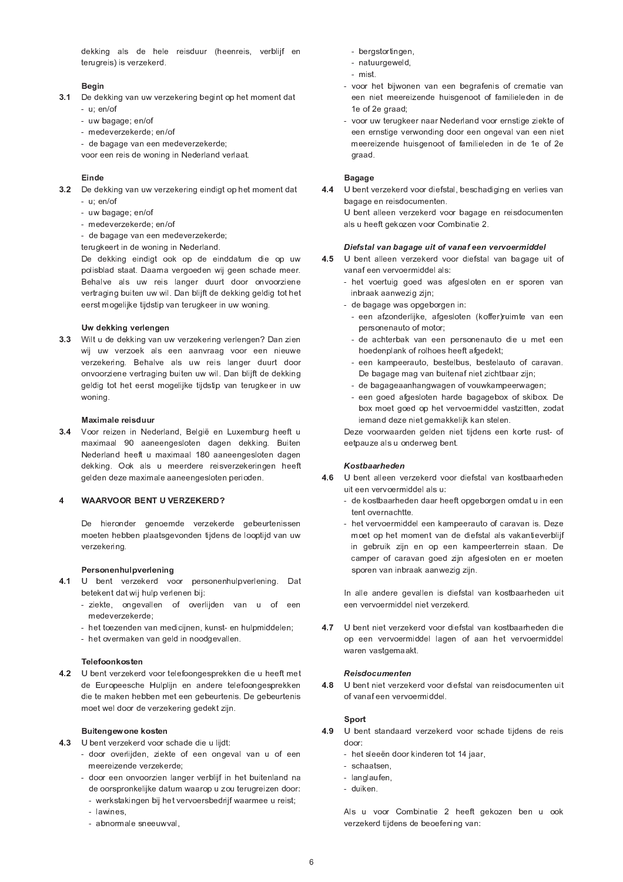dekking als de hele reisduur (heenreis, verblijf en terugreis) is verzekerd.

## Begin

- 3.1 De dekking van uw verzekering begint op het moment dat -  $u$ ; en/of
	- uw bagage; en/of
	- medeverzekerde; en/of
	- de bagage van een medeverzekerde;

voor een reis de woning in Nederland verlaat.

## Einde

- 3.2 De dekking van uw verzekering eindigt op het moment dat -  $u$ ; en/of
	- uw bagage; en/of
	- medeverzekerde; en/of

- de bagage van een medeverzekerde;

terugkeert in de woning in Nederland.

De dekking eindigt ook op de einddatum die op uw polisblad staat. Daarna vergoeden wij geen schade meer. Behalve als uw reis langer duurt door onvoorziene vertraging buiten uw wil. Dan blijft de dekking geldig tot het eerst mogelijke tijdstip van terugkeer in uw woning.

## Uw dekking verlengen

3.3 Wilt u de dekking van uw verzekering verlengen? Dan zien wij uw verzoek als een aanvraag voor een nieuwe verzekering. Behalve als uw reis langer duurt door onvoorziene vertraging buiten uw wil. Dan blijft de dekking geldig tot het eerst mogelijke tijdstip van terugkeer in uw woning.

## Maximale reisduur

3.4 Voor reizen in Nederland, België en Luxemburg heeft u maximaal 90 aaneengesloten dagen dekking. Buiten Nederland heeft u maximaal 180 aaneengesloten dagen dekking. Ook als u meerdere reisverzekeringen heeft gelden deze maximale aaneengesloten perioden.

## **WAARVOOR BENT U VERZEKERD?**  $\overline{4}$

De hieronder genoemde verzekerde gebeurtenissen moeten hebben plaatsgevonden tijdens de looptijd van uw verzekering.

## Personenhulpverlening

- 4.1 U bent verzekerd voor personenhulpverlening. Dat betekent dat wij hulp verlenen bij:
	- ziekte, ongevallen of overlijden van u of een medeverzekerde
	- het toezenden van medicijnen, kunst- en hulpmiddelen;
	- het overmaken van geld in noodgevallen.

## Telefoonkosten

4.2 U bent verzekerd voor telefoongesprekken die u heeft met de Europeesche Hulplijn en andere telefoongesprekken die te maken hebben met een gebeurtenis. De gebeurtenis moet wel door de verzekering gedekt zijn.

## Buitengewone kosten

- 4.3 U bent verzekerd voor schade die u lijdt:
	- door overlijden, ziekte of een ongeval van u of een meereizende verzekerde;
	- door een onvoorzien langer verblijf in het buitenland na de oorspronkelijke datum waarop u zou terugreizen door:
		- werkstakingen bij het vervoersbedrijf waarmee u reist;
		- lawines
		- abnormale sneeuwval,
- bergstortingen,
- natuurgeweld,
- mist.
- voor het bijwonen van een begrafenis of crematie van een niet meereizende huisgenoot of familieleden in de 1e of 2e graad;
- voor uw terugkeer naar Nederland voor ernstige ziekte of een ernstige verwonding door een ongeval van een niet meereizende huisgenoot of familieleden in de 1e of 2e graad.

## **Bagage**

4.4 U bent verzekerd voor diefstal, beschadiging en verlies van bagage en reisdocumenten.

U bent alleen verzekerd voor bagage en reisdocumenten als u heeft gekozen voor Combinatie 2.

## Diefstal van bagage uit of vanaf een vervoermiddel

- $4.5$ U bent alleen verzekerd voor diefstal van bagage uit of vanaf een vervoermiddel als:
	- het voertuig goed was afgesloten en er sporen van inbraak aanwezig zijn;
	- de bagage was opgeborgen in:
		- een afzonderlijke, afgesloten (koffer)ruimte van een personenauto of motor;
		- de achterbak van een personenauto die u met een hoedenplank of rolhoes heeft afgedekt;
		- een kampeerauto, bestelbus, bestelauto of caravan. De bagage mag van buitenaf niet zichtbaar zijn;
		- de bagageaanhangwagen of vouwkampeerwagen;
		- een goed afgesloten harde bagagebox of skibox. De box moet goed op het vervoermiddel vastzitten, zodat iemand deze niet gemakkelijk kan stelen.

Deze voorwaarden gelden niet tijdens een korte rust- of eetpauze als u onderweg bent.

## Kostbaarheden

- 4.6 U bent alleen verzekerd voor diefstal van kostbaarheden uit een vervoermiddel als u:
	- de kostbaarheden daar heeft opgeborgen omdat u in een tent overnachtte.
	- het vervoermiddel een kampeerauto of caravan is. Deze moet op het moment van de diefstal als vakantieverblijf in gebruik zijn en op een kampeerterrein staan. De camper of caravan goed zijn afgesloten en er moeten sporen van inbraak aanwezig zijn.

In alle andere gevallen is diefstal van kostbaarheden uit een vervoermiddel niet verzekerd.

4.7 U bent niet verzekerd voor diefstal van kostbaarheden die op een vervoermiddel lagen of aan het vervoermiddel waren vastgemaakt.

## Reisdocumenten

48 U bent niet verzekerd voor diefstal van reisdocumenten uit of vanaf een vervoermiddel.

## Sport

- 4.9 U bent standaard verzekerd voor schade tijdens de reis door:
	- het sleeën door kinderen tot 14 jaar,
	- schaatsen.
	- langlaufen,
	- duiken.

Als u voor Combinatie 2 heeft gekozen ben u ook verzekerd tijdens de beoefening van: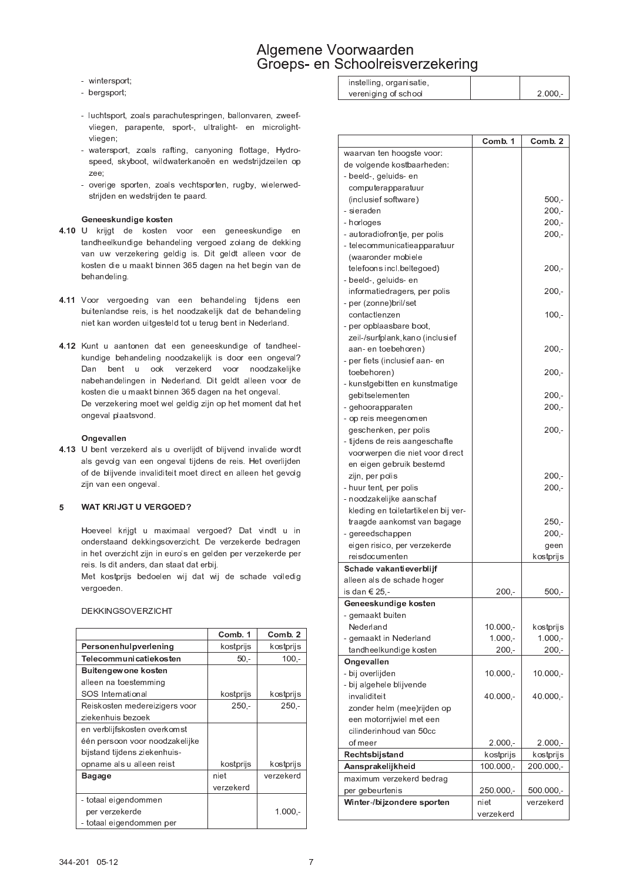- wintersport;
- bergsport;
- luchtsport, zoals parachutespringen, ballonvaren, zweefvliegen, parapente, sport-, ultralight- en microlightvliegen;
- watersport, zoals rafting, canyoning flottage, Hydrospeed, skyboot, wildwaterkanoën en wedstrijdzeilen op zee;
- overige sporten, zoals vechtsporten, rugby, wielerwedstrijden en wedstrijden te paard.

## Geneeskundige kosten

- 4.10 U krijgt de kosten voor een geneeskundige en tandheelkundige behandeling vergoed zolang de dekking van uw verzekering geldig is. Dit geldt alleen voor de kosten die u maakt binnen 365 dagen na het begin van de behandeling.
- 4.11 Voor vergoeding van een behandeling tijdens een buitenlandse reis, is het noodzakelijk dat de behandeling niet kan worden uitgesteld tot u terug bent in Nederland.
- 4.12 Kunt u aantonen dat een geneeskundige of tandheelkundige behandeling noodzakelijk is door een ongeval? Dan bent u ook verzekerd voor noodzakelijke nabehandelingen in Nederland. Dit geldt alleen voor de kosten die u maakt binnen 365 dagen na het ongeval. De verzekering moet wel geldig zijn op het moment dat het ongeval plaatsvond.

## Ongevallen

4.13 U bent verzekerd als u overlijdt of blijvend invalide wordt als gevolg van een ongeval tijdens de reis. Het overlijden of de blijvende invaliditeit moet direct en alleen het gevolg zijn van een ongeval.

### WAT KRIJGT U VERGOED? 5

Hoeveel krijgt u maximaal vergoed? Dat vindt u in onderstaand dekkingsoverzicht. De verzekerde bedragen in het overzicht zijn in euro's en gelden per verzekerde per reis. Is dit anders, dan staat dat erbij.

Met kostprijs bedoelen wij dat wij de schade volledig vergoeden.

## **DEKKINGSOVERZICHT**

|                                | Comb. 1   | Comb.2    |
|--------------------------------|-----------|-----------|
| Personenhulpverlening          | kostprijs | kostprijs |
| Telecommunicatiekosten         | $50 -$    | $100 -$   |
| <b>Buitengewone kosten</b>     |           |           |
| alleen na toestemming          |           |           |
| SOS International              | kostprijs | kostprijs |
| Reiskosten medereizigers voor  | $250 -$   | $250 -$   |
| ziekenhuis bezoek              |           |           |
| en verblijfskosten overkomst   |           |           |
| één persoon voor noodzakelijke |           |           |
| bijstand tijdens ziekenhuis-   |           |           |
| opname als u alleen reist      | kostprijs | kostprijs |
| <b>Bagage</b>                  | niet      | verzekerd |
|                                | verzekerd |           |
| - totaal eigendommen           |           |           |
| per verzekerde                 |           | $1.000 -$ |
| - totaal eigendommen per       |           |           |

| instelling, organisatie, |           |
|--------------------------|-----------|
| vereniging of school     | $2.000 -$ |

|                                                        | Comb. 1     | Comb. 2    |
|--------------------------------------------------------|-------------|------------|
| waarvan ten hoogste voor:                              |             |            |
| de volgende kostbaarheden:                             |             |            |
| - beeld-, geluids- en                                  |             |            |
| computerapparatuur                                     |             |            |
| (inclusief software)                                   |             | 500,-      |
| - sieraden                                             |             | $200 -$    |
| - horloges                                             |             | 200,-      |
| - autoradiofrontje, per polis                          |             | $200 -$    |
| - telecommunicatieapparatuur                           |             |            |
| (waaronder mobiele                                     |             |            |
| telefoons incl.beltegoed)                              |             | $200 -$    |
| - beeld-, geluids- en                                  |             |            |
| informatiedragers, per polis                           |             | -,200      |
| - per (zonne)bril/set                                  |             |            |
| contactlenzen                                          |             | $100 -$    |
| - per opblaasbare boot,                                |             |            |
| zeil-/surfplank, kano (inclusief<br>aan-en toebehoren) |             | $200, -$   |
| - per fiets (inclusief aan- en                         |             |            |
| toebehoren)                                            |             | $200 -$    |
| - kunstgebitten en kunstmatige                         |             |            |
| gebitselementen                                        |             | 200,-      |
| - gehoorapparaten                                      |             | $200 -$    |
| - op reis meegenomen                                   |             |            |
| geschenken, per polis                                  |             | $200 -$    |
| - tijdens de reis aangeschafte                         |             |            |
| voorwerpen die niet voor direct                        |             |            |
| en eigen gebruik bestemd                               |             |            |
| zijn, per polis                                        |             | $200 -$    |
| - huur tent, per polis                                 |             | $200 -$    |
| - noodzakelijke aanschaf                               |             |            |
| kleding en toiletartikelen bij ver-                    |             |            |
| traagde aankomst van bagage                            |             | 250,-      |
| - gereedschappen                                       |             | 200,-      |
| eigen risico, per verzekerde                           |             | geen       |
| reisdocumenten                                         |             | kostprijs  |
| Schade vakantieverblijf                                |             |            |
| alleen als de schade hoger                             |             |            |
| is dan € 25,-                                          | 200,-       | 500,-      |
| Geneeskundige kosten                                   |             |            |
| - gemaakt buiten                                       |             |            |
| Nederland                                              | $10.000,-$  | kostprijs  |
| - gemaakt in Nederland                                 | $1.000 -$   | $1.000 -$  |
| tandheelkundige kosten                                 | 200,-       | $200, -$   |
| Ongevallen                                             |             |            |
| - bij overlijden                                       | $10.000,-$  | $10.000,-$ |
| - bij algehele blijvende                               |             |            |
| invaliditeit                                           | 40.000,-    | $40.000 -$ |
| zonder helm (mee)rijden op                             |             |            |
| een motorrijwiel met een                               |             |            |
| cilinderinhoud van 50cc                                |             |            |
| of meer                                                | $2.000,-$   | $2.000,-$  |
| Rechtsbijstand                                         | kostprijs   | kostprijs  |
| Aansprakelijkheid                                      | $100.000,-$ | 200.000,-  |
| maximum verzekerd bedrag                               |             |            |
| per gebeurtenis                                        | 250.000,-   | 500.000,-  |
| Winter-/bijzondere sporten                             | niet        | verzekerd  |
|                                                        | verzekerd   |            |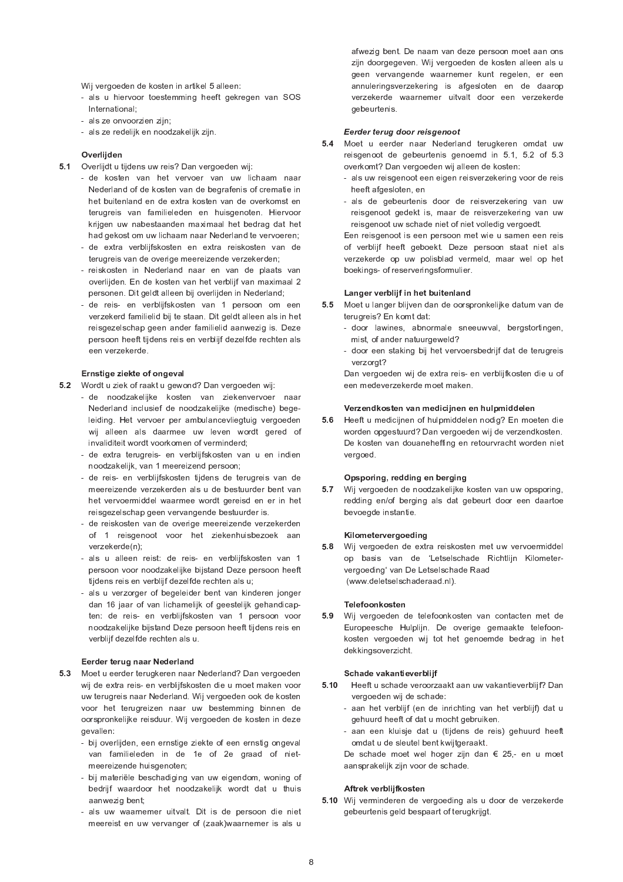Wij vergoeden de kosten in artikel 5 alleen:

- als u hiervoor toestemming heeft gekregen van SOS International:
- als ze onvoorzien zijn;
- als ze redelijk en noodzakelijk zijn.

## Overlijden

- 5.1 Overlijdt u tijdens uw reis? Dan vergoeden wij:
	- de kosten van het vervoer van uw lichaam naar Nederland of de kosten van de begrafenis of crematie in het buitenland en de extra kosten van de overkomst en terugreis van familieleden en huisgenoten. Hiervoor krijgen uw nabestaanden maximaal het bedrag dat het had gekost om uw lichaam naar Nederland te vervoeren;
	- de extra verblijfskosten en extra reiskosten van de terugreis van de overige meereizende verzekerden;
	- reiskosten in Nederland naar en van de plaats van overlijden. En de kosten van het verblijf van maximaal 2 personen. Dit geldt alleen bij overlijden in Nederland;
	- de reis- en verblijfskosten van 1 persoon om een verzekerd familielid bij te staan. Dit geldt alleen als in het reisgezelschap geen ander familielid aanwezig is. Deze persoon heeft tijdens reis en verblijf dezelfde rechten als een verzekerde

## Ernstige ziekte of ongeval

- 5.2 Wordt u ziek of raakt u gewond? Dan vergoeden wij:
	- de noodzakelijke kosten van ziekenvervoer naar Nederland inclusief de noodzakelijke (medische) begeleiding. Het vervoer per ambulancevliegtuig vergoeden wij alleen als daarmee uw leven wordt gered of invaliditeit wordt voorkomen of verminderd;
	- de extra terugreis- en verblijfskosten van u en indien noodzakelijk, van 1 meereizend persoon;
	- de reis- en verblijfskosten tijdens de terugreis van de meereizende verzekerden als u de bestuurder bent van het vervoermiddel waarmee wordt gereisd en er in het reisgezelschap geen vervangende bestuurder is.
	- de reiskosten van de overige meereizende verzekerden of 1 reisgenoot voor het ziekenhuisbezoek aan verzekerde(n);
	- als u alleen reist: de reis- en verblijfskosten van 1 persoon voor noodzakelijke bijstand Deze persoon heeft tijdens reis en verblijf dezelfde rechten als u;
	- als u verzorger of begeleider bent van kinderen jonger dan 16 jaar of van lichamelijk of geestelijk gehandicapten: de reis- en verblijfskosten van 1 persoon voor noodzakelijke bijstand Deze persoon heeft tijdens reis en verblijf dezelfde rechten als u.

## Eerder terug naar Nederland

- 5.3 Moet u eerder terugkeren naar Nederland? Dan vergoeden wij de extra reis- en verblijfskosten die u moet maken voor uw terugreis naar Nederland. Wij vergoeden ook de kosten voor het terugreizen naar uw bestemming binnen de oorspronkelijke reisduur. Wij vergoeden de kosten in deze gevallen:
	- bij overlijden, een ernstige ziekte of een ernstig ongeval van familieleden in de 1e of 2e graad of nietmeereizende huisgenoten;
	- bij materiële beschadiging van uw eigendom, woning of bedrijf waardoor het noodzakelijk wordt dat u thuis aanwezig bent;
	- als uw waarnemer uitvalt. Dit is de persoon die niet meereist en uw vervanger of (zaak)waarnemer is als u

afwezig bent. De naam van deze persoon moet aan ons zijn doorgegeven. Wij vergoeden de kosten alleen als u geen vervangende waarnemer kunt regelen, er een annuleringsverzekering is afgesloten en de daarop verzekerde waarnemer uitvalt door een verzekerde gebeurtenis.

## Eerder terug door reisgenoot

- 5.4 Moet u eerder naar Nederland terugkeren omdat uw reisgenoot de gebeurtenis genoemd in 5.1, 5.2 of 5.3 overkomt? Dan vergoeden wij alleen de kosten:
	- als uw reisgenoot een eigen reisverzekering voor de reis heeft afgesloten, en
	- als de gebeurtenis door de reisverzekering van uw reisgenoot gedekt is, maar de reisverzekering van uw reisgenoot uw schade niet of niet volledig vergoedt.

Een reisgenoot is een persoon met wie u samen een reis of verblijf heeft geboekt. Deze persoon staat niet als verzekerde op uw polisblad vermeld, maar wel op het boekings- of reserveringsformulier.

## Langer verblijf in het buitenland

- $5.5$ Moet u langer blijven dan de oorspronkelijke datum van de terugreis? En komt dat:
	- door lawines, abnormale sneeuwval, bergstortingen, mist, of ander natuurgeweld?
	- door een staking bij het vervoersbedrijf dat de terugreis verzorat?

Dan vergoeden wij de extra reis- en verblijfkosten die u of een medeverzekerde moet maken.

## Verzendkosten van medicijnen en hulpmiddelen

5.6 Heeft u medicijnen of hulpmiddelen nodig? En moeten die worden opgestuurd? Dan vergoeden wij de verzendkosten. De kosten van douaneheffing en retourvracht worden niet vergoed.

## Opsporing, redding en berging

5.7 Wij vergoeden de noodzakelijke kosten van uw opsporing, redding en/of berging als dat gebeurt door een daartoe bevoegde instantie.

## Kilometervergoeding

5.8 Wij vergoeden de extra reiskosten met uw vervoermiddel op basis van de 'Letselschade Richtlijn Kilometervergoeding' van De Letselschade Raad (www.deletselschaderaad.nl).

## Telefoonkosten

5.9 Wij vergoeden de telefoonkosten van contacten met de Europeesche Hulplijn. De overige gemaakte telefoonkosten vergoeden wij tot het genoemde bedrag in het dekkingsoverzicht.

## Schade vakantieverbliif

- $5.10$ Heeft u schade veroorzaakt aan uw vakantieverblijf? Dan vergoeden wij de schade:
	- aan het verblijf (en de inrichting van het verblijf) dat u gehuurd heeft of dat u mocht gebruiken.
	- aan een kluisje dat u (tijdens de reis) gehuurd heeft omdat u de sleutel bent kwijtgeraakt.
	- De schade moet wel hoger zijn dan € 25,- en u moet aansprakelijk zijn voor de schade.

## Aftrek verblijfkosten

5.10 Wij verminderen de vergoeding als u door de verzekerde gebeurtenis geld bespaart of terugkrijgt.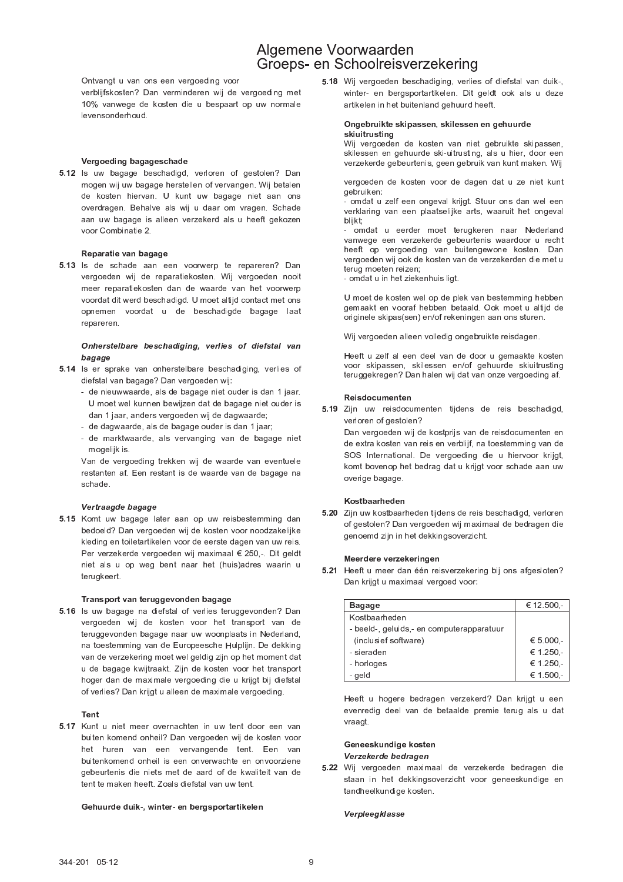Ontvangt u van ons een vergoeding voor

verblijfskosten? Dan verminderen wij de vergoeding met 10% vanwege de kosten die u bespaart op uw normale levensonderhoud.

## Vergoeding bagageschade

5.12 Is uw bagage beschadigd, verloren of gestolen? Dan mogen wij uw bagage herstellen of vervangen. Wij betalen de kosten hiervan. U kunt uw bagage niet aan ons overdragen. Behalve als wij u daar om vragen. Schade aan uw bagage is alleen verzekerd als u heeft gekozen voor Combinatie 2

## Reparatie van bagage

5.13 Is de schade aan een voorwerp te repareren? Dan vergoeden wij de reparatiekosten. Wij vergoeden nooit meer reparatiekosten dan de waarde van het voorwerp voordat dit werd beschadigd. U moet altijd contact met ons opnemen voordat u de beschadigde bagage laat repareren.

## Onherstelbare beschadiging, verlies of diefstal van bagage

- 5.14 Is er sprake van onherstelbare beschadiging, verlies of diefstal van bagage? Dan vergoeden wij:
	- de nieuwwaarde, als de bagage niet ouder is dan 1 jaar. U moet wel kunnen bewijzen dat de bagage niet ouder is dan 1 jaar, anders vergoeden wij de dagwaarde;
	- de dagwaarde, als de bagage ouder is dan 1 jaar;
	- de marktwaarde, als vervanging van de bagage niet mogelijk is.

Van de vergoeding trekken wij de waarde van eventuele restanten af. Een restant is de waarde van de bagage na schade.

## Vertraagde bagage

5.15 Komt uw bagage later aan op uw reisbestemming dan bedoeld? Dan vergoeden wij de kosten voor noodzakelijke kleding en toiletartikelen voor de eerste dagen van uw reis. Per verzekerde vergoeden wij maximaal € 250,-. Dit geldt niet als u op weg bent naar het (huis)adres waarin u terugkeert.

## Transport van teruggevonden bagage

5.16 Is uw bagage na diefstal of verlies teruggevonden? Dan vergoeden wij de kosten voor het transport van de teruggevonden bagage naar uw woonplaats in Nederland, na toestemming van de Europeesche Hulplijn. De dekking van de verzekering moet wel geldig zijn op het moment dat u de bagage kwijtraakt. Zijn de kosten voor het transport hoger dan de maximale vergoeding die u krijgt bij diefstal of verlies? Dan krijgt u alleen de maximale vergoeding.

## Tent

5.17 Kunt u niet meer overnachten in uw tent door een van buiten komend onheil? Dan vergoeden wij de kosten voor het huren van een vervangende tent. Een van buitenkomend onheil is een onverwachte en onvoorziene gebeurtenis die niets met de aard of de kwaliteit van de tent te maken heeft. Zoals diefstal van uw tent.

## Gehuurde duik-, winter- en bergsportartikelen

5.18 Wij vergoeden beschadiging, verlies of diefstal van duik-, winter- en bergsportartikelen. Dit geldt ook als u deze artikelen in het buitenland gehuurd heeft.

## Ongebruikte skipassen, skilessen en gehuurde skiuitrusting

Wij vergoeden de kosten van niet gebruikte skipassen, skilessen en gehuurde ski-uitrusting, als u hier, door een verzekerde gebeurtenis, geen gebruik van kunt maken. Wij

vergoeden de kosten voor de dagen dat u ze niet kunt gebruiken:

- omdat u zelf een ongeval krijgt. Stuur ons dan wel een verklaring van een plaatselijke arts, waaruit het ongeval bliikt:

- omdat u eerder moet terugkeren naar Nederland vanwege een verzekerde gebeurtenis waardoor u recht heeft op vergoeding van buitengewone kosten. Dan vergoeden wij ook de kosten van de verzekerden die met u terug moeten reizen,

- omdat u in het ziekenhuis ligt.

U moet de kosten wel op de plek van bestemming hebben gemaakt en vooraf hebben betaald. Ook moet u altijd de originele skipas(sen) en/of rekeningen aan ons sturen.

Wij vergoeden alleen volledig ongebruikte reisdagen.

Heeft u zelf al een deel van de door u gemaakte kosten voor skipassen, skilessen en/of gehuurde skiuitrusting teruggekregen? Dan halen wij dat van onze vergoeding af.

## Reisdocumenten

5.19 Zijn uw reisdocumenten tijdens de reis beschadigd, verloren of gestolen?

Dan vergoeden wij de kostprijs van de reisdocumenten en de extra kosten van reis en verblijf, na toestemming van de SOS International. De vergoeding die u hiervoor krijgt, komt bovenop het bedrag dat u krijgt voor schade aan uw overige bagage

## Kostbaarheden

5.20 Zijn uw kostbaarheden tijdens de reis beschadigd, verloren of gestolen? Dan vergoeden wij maximaal de bedragen die genoemd zijn in het dekkingsoverzicht.

## Meerdere verzekeringen

5.21 Heeft u meer dan één reisverzekering bij ons afgesloten? Dan krijgt u maximaal vergoed voor:

| <b>Bagage</b>                            | € 12.500.-  |
|------------------------------------------|-------------|
| Kostbaarheden                            |             |
| - beeld-, geluids, en computerapparatuur |             |
| (inclusief software)                     | € $5000 -$  |
| - sieraden                               | € 1.250 $-$ |
| - horloges                               | € 1.250,-   |
| - geld                                   | € 1.500,-   |

Heeft u hogere bedragen verzekerd? Dan krijgt u een evenredig deel van de betaalde premie terug als u dat vraagt.

## Geneeskundige kosten Verzekerde bedragen

5.22 Wij vergoeden maximaal de verzekerde bedragen die staan in het dekkingsoverzicht voor geneeskundige en tandheelkundige kosten.

## Verpleegklasse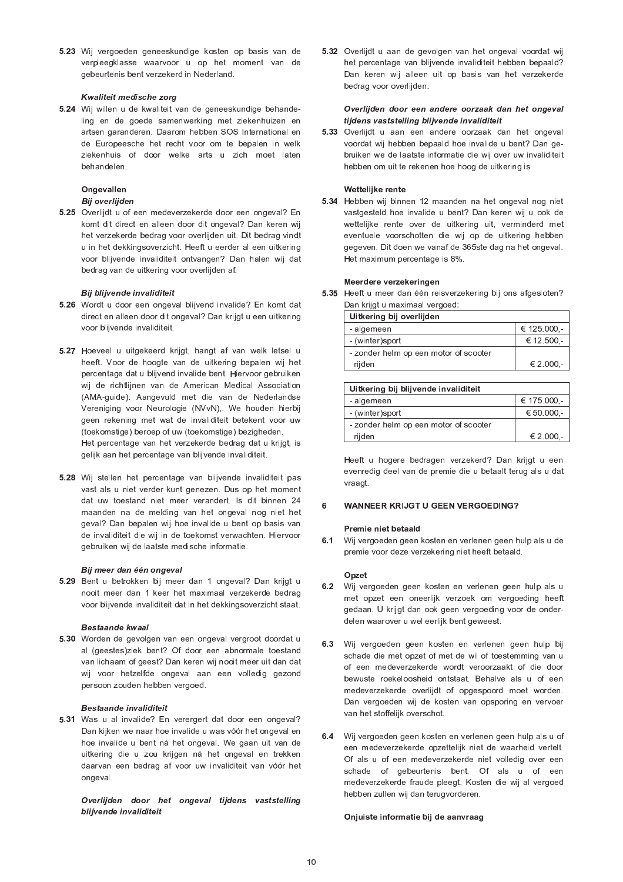$\equiv$  . And the first state of the first state  $\sim$  . The first state of the first state  $\sim$  . The first state of the first state  $\sim$  <sup>+</sup> <sup>6</sup> <sup>6</sup> <sup>9</sup>

## Kwaliteit medische zorg

@ <sup>c</sup> - <sup>7</sup> \* <sup>+</sup> <sup>6</sup> <sup>+</sup> . <sup>9</sup> ling en de goede samenwerking met ziekenhuizen en artsen garanderen. Daarom hebben SOS International en ziekenhuis of door welke arts u zich moet laten hehandelen

# Ongevallen

## Bij overlijden

 $\bullet$  . And a set of the contract of the contract of the contract of the contract of the contract of the contract of the contract of the contract of the contract of the contract of the contract of the contract of the contr <sup>9</sup> <sup>+</sup>  .    .   . , <sup>9</sup> .  <sup>+</sup>    ;

## Bij blijvende invaliditeit

- @ <sup>c</sup> <sup>I</sup> \*   . , <sup>2</sup> <sup>+</sup>  .
- @ <sup>c</sup> <sup>M</sup> <sup>N</sup> <sup>+</sup> <sup>+</sup> <sup>E</sup> <sup>9</sup> ; + <sup>6</sup> <sup>9</sup> ; <sup>D</sup> <sup>9</sup> <sup>+</sup>  . <sup>9</sup> . The contract of the contract of the contract of the contract of the contract of the contract of the contract of the contract of the contract of the contract of the contract of the contract of the contract of the contrac <sup>+</sup> . <sup>+</sup> (toekomstige) beroep of uw (toekomstige) bezigheden. . The set of the set of the set of the set of the set of the set of the set of the set of the set of the set of the set of the set of the set of the set of the set of the set of the set of the set of the set of the set of
- @ <sup>c</sup> <sup>O</sup> \* <sup>6</sup> <sup>9</sup>  . <sup>6</sup>  $\mathcal{L} = \{ \mathcal{L} \mid \mathcal{L} = \mathcal{L} \}$  , and the set of the set of the set of the set of the set of the set of the set of the set of the set of the set of the set of the set of the set of the set of the set of the set of the  $\mathcal{S} = \{ \mathcal{S} \mid \mathcal{S} \text{ is a } \mathcal{S} \}$  . The set of the set of the set of the set of the set of the set of the set of the set of the set of the set of the set of the set of the set of the set of the set of the set of the , and a set of the set of the set of the set of the set of the set of the set of the set of the set of the set of the set of the set of the set of the set of the set of the set of the set of the set of the set of the set <sup>+</sup> <sup>6</sup> <sup>9</sup> <sup>N</sup> gebruiken wij de laatste medische informatie.

## Bij meer dan één ongeval

@ <sup>c</sup> - <sup>Q</sup> <sup>0</sup> .  <sup>+</sup> <sup>+</sup> .  , <sup>+</sup>  . <sup>9</sup> <sup>+</sup> <sup>+</sup> <sup>6</sup> <sup>9</sup> <sup>6</sup>

## Bestaande kwaal

@ <sup>c</sup> / \*     al (geestes)ziek bent? Of door een abnormale toestand <sup>9</sup> ; <sup>6</sup> , <sup>+</sup>  $\mathbf{P} = \mathbf{P} \mathbf{P} = \mathbf{P} \mathbf{P} = \mathbf{P} \mathbf{P} = \mathbf{P} \mathbf{P} = \mathbf{P} \mathbf{P} = \mathbf{P} \mathbf{P} = \mathbf{P} \mathbf{P} = \mathbf{P} \mathbf{P} = \mathbf{P} \mathbf{P} = \mathbf{P} \mathbf{P} = \mathbf{P} \mathbf{P} = \mathbf{P} \mathbf{P} = \mathbf{P} \mathbf{P} = \mathbf{P} \mathbf{P} = \mathbf{P} \mathbf{P} = \mathbf{P} \mathbf{P} = \mathbf{P$ 

## Bestaande invaliditeit

 $\pm$  , and a set of the set of the set of the set of the set of the set of the set of the set of the set of the set of the set of the set of the set of the set of the set of the set of the set of the set of the set of the <sup>9</sup> . § <sup>9</sup> \*  $\mathcal{L}^{\mathcal{L}}$  , and the set of the set of the set of the set of the set of the set of the set of the set of the set of the set of the set of the set of the set of the set of the set of the set of the set of the set of t the contract of the contract of

Overlijden door het ongeval tijdens vaststelling blijvende invaliditeit

 $\equiv$  . As a finite set of the set of the set of the set of the set of the set of the set of the set of the set of the set of the set of the set of the set of the set of the set of the set of the set of the set of the set  $\mathbf{P} = \{ \mathbf{P} \mid \mathbf{P} \in \mathbb{R}^d \mid \mathbf{P} \in \mathbb{R}^d \mid \mathbf{P} \in \mathbb{R}^d \mid \mathbf{P} \in \mathbb{R}^d \mid \mathbf{P} \in \mathbb{R}^d \mid \mathbf{P} \in \mathbb{R}^d \mid \mathbf{P} \in \mathbb{R}^d \mid \mathbf{P} \in \mathbb{R}^d \mid \mathbf{P} \in \mathbb{R}^d \mid \mathbf{P} \in \mathbb{R}^d \mid \mathbf{P} \in \mathbb{R}^d \mid \mathbf{P$  $-$  . The second contract of the second contract of the second contract of the second contract of the second contract of the second contract of the second contract of the second contract of the second contract of the seco .   

## Overlijden door een andere oorzaak dan het ongeval tijdens vaststelling blijvende invaliditeit

 $\equiv$  (see ) and (see ) and (see ) and (see ) and (see ) and (see ) and (see ) and (see ) and (see ) and (see ) and (see ) and (see ) and (see ) and (see ) and (see ) and (see ) and (see ) and (see ) and (see ) and (see ) <sup>9</sup> . . . <sup>9</sup> . , hebben om uit te rekenen hoe hoog de uitkering is

## Wettelijke rente

@ <sup>c</sup> / <sup>7</sup> <sup>N</sup> . . . <sup>9</sup> <sup>6</sup> <sup>6</sup> <sup>9</sup> . , <sup>+</sup> <sup>+</sup>  $\mathcal{L} = \{ \mathcal{L}^{\mathcal{L}} \mathcal{L}^{\mathcal{L}} \mathcal{L}^{\mathcal{L}} \mathcal{L}^{\mathcal{L}} \mathcal{L}^{\mathcal{L}} \mathcal{L}^{\mathcal{L}} \mathcal{L}^{\mathcal{L}} \mathcal{L}^{\mathcal{L}} \mathcal{L}^{\mathcal{L}} \mathcal{L}^{\mathcal{L}} \mathcal{L}^{\mathcal{L}} \mathcal{L}^{\mathcal{L}} \mathcal{L}^{\mathcal{L}} \mathcal{L}^{\mathcal{L}} \mathcal{L}^{\mathcal{L}} \mathcal{L}^{\mathcal{L}} \mathcal$  $\sim$  1  $\sim$  1  $\sim$  1  $\sim$  1  $\sim$  1  $\sim$  1  $\sim$  1  $\sim$  1  $\sim$  1  $\sim$  1  $\sim$  1  $\sim$ Het maximum percentage is 8%.

## Meerdere verzekeringen

 $\equiv$  2  $\equiv$  1.0  $\pm$  1.0  $\pm$  1.0  $\pm$  1.0  $\pm$  1.0  $\pm$  1.0  $\pm$  1.0  $\pm$  1.0  $\pm$  1.0  $\pm$  1.0  $\pm$ 

| Uitkering bij overlijden              |                    |  |
|---------------------------------------|--------------------|--|
| - algemeen                            | € 125.000.-        |  |
| - (winter)sport                       | $\epsilon$ 12.500. |  |
| - zonder helm op een motor of scooter |                    |  |
| rijden                                | $\epsilon$ 2.000 - |  |

| Uitkering bij blijvende invaliditeit  |             |  |
|---------------------------------------|-------------|--|
| - algemeen                            | € 175.000,- |  |
| - (winter)sport                       | € 50 000.   |  |
| - zonder helm op een motor of scooter |             |  |
| rijden                                | € 2.000,-   |  |

. The contract of the contract of the contract of the contract of the contract of the contract of the contract of the contract of the contract of the contract of the contract of the contract of the contract of the contrac and the contract of the con-

## 6 WANNEER KRIJGT U GEEN VERGOEDING?

## Premie niet betaald

 <sup>+</sup> <sup>9</sup> ; .

## Opzet

- $\sim$  3  $\sim$  3  $\sim$  3  $\sim$  3  $\sim$  3  $\sim$  3  $\sim$  3  $\sim$  3  $\sim$  3  $\sim$  3  $\sim$  3  $\sim$  3  $\sim$  3  $\sim$  3  $\sim$  3  $\sim$  3  $\sim$
- $\mathcal{L} = \mathcal{L} \mathcal{L} = \mathcal{L} \mathcal{L} = \mathcal{L} \mathcal{L} = \mathcal{L} \mathcal{L} = \mathcal{L} \mathcal{L} = \mathcal{L} \mathcal{L} = \mathcal{L} \mathcal{L} = \mathcal{L} \mathcal{L} = \mathcal{L} \mathcal{L} = \mathcal{L} \mathcal{L} = \mathcal{L} \mathcal{L} = \mathcal{L} \mathcal{L} = \mathcal{L} \mathcal{L} = \mathcal{L} \mathcal{L} = \mathcal{L} \mathcal{L} = \mathcal{L} \mathcal{L} = \mathcal{L$  $\mathcal{L}=\mathcal{L}=\{1,2,3,4,5\}$  . The contract of the contract of the contract of the contract of the contract of the contract of the contract of the contract of the contract of the contract of the contract of the contract of <sup>+</sup>   ; <sup>6</sup>  $\bullet$  . The first state of the contract of the contract of the contract of the contract of the contract of the contract of the contract of the contract of the contract of the contract of the contract of the contract of the  $\mathcal{S} = \{ \mathcal{S} \mid \mathcal{S} \in \mathcal{S} \mid \mathcal{S} \text{ is a finite number of } \mathcal{S} \}$
- <sup>+</sup> <sup>+</sup> <sup>9</sup>  $\mathcal{L}^{(1)}$  is a set of  $\mathcal{L}^{(1)}$  . The set of  $\mathcal{L}^{(1)}$  is a set of  $\mathcal{L}^{(1)}$  is a set of  $\mathcal{L}^{(1)}$  is a set of  $\mathcal{L}^{(1)}$ schade of gebeurtenis bent. Of als u of een <sup>+</sup>  ;  <sup>F</sup> <sup>6</sup>

## Onjuiste informatie bij de aanvraag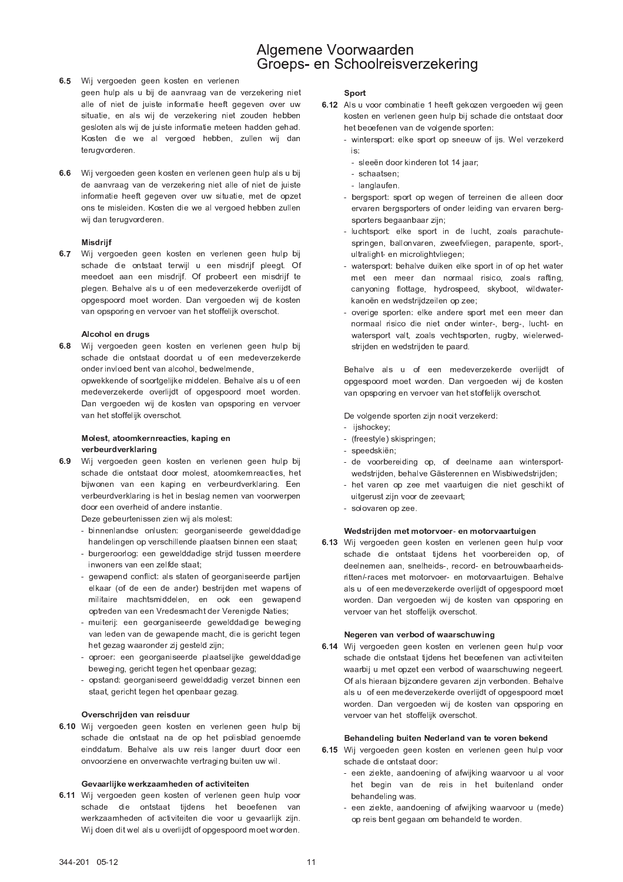- 6.5 Wij vergoeden geen kosten en verlenen
	- geen hulp als u bij de aanvraag van de verzekering niet alle of niet de juiste informatie heeft gegeven over uw situatie, en als wij de verzekering niet zouden hebben gesloten als wij de juiste informatie meteen hadden gehad. Kosten die we al vergoed hebben, zullen wij dan terugvorderen.
- 6.6 Wij vergoeden geen kosten en verlenen geen hulp als u bij de aanvraag van de verzekering niet alle of niet de juiste informatie heeft gegeven over uw situatie, met de opzet ons te misleiden. Kosten die we al vergoed hebben zullen wij dan terugvorderen.

## Misdrijf

6.7 Wij vergoeden geen kosten en verlenen geen hulp bij schade die ontstaat terwijl u een misdrijf pleegt. Of meedoet aan een misdrijf. Of probeert een misdrijf te plegen. Behalve als u of een medeverzekerde overlijdt of opgespoord moet worden. Dan vergoeden wij de kosten van opsporing en vervoer van het stoffelijk overschot.

## Alcohol en drugs

6.8 Wij vergoeden geen kosten en verlenen geen hulp bij schade die ontstaat doordat u of een medeverzekerde onder invloed bent van alcohol, bedwelmende, opwekkende of soortgelijke middelen. Behalve als u of een medeverzekerde overlijdt of opgespoord moet worden. Dan vergoeden wij de kosten van opsporing en vervoer van het stoffelijk overschot.

## Molest, atoomkernreacties, kaping en verbeurdverklaring

6.9 Wij vergoeden geen kosten en verlenen geen hulp bij schade die ontstaat door molest, atoomkernreacties, het bijwonen van een kaping en verbeurdverklaring. Een verbeurdverklaring is het in beslag nemen van voorwerpen door een overheid of andere instantie.

Deze gebeurtenissen zien wij als molest:

- binnenlandse onlusten: georganiseerde gewelddadige handelingen op verschillende plaatsen binnen een staat;
- burgeroorlog: een gewelddadige strijd tussen meerdere inwoners van een zelfde staat:
- gewapend conflict: als staten of georganiseerde partijen elkaar (of de een de ander) bestrijden met wapens of militaire machtsmiddelen, en ook een gewapend optreden van een Vredesmacht der Verenigde Naties;
- muiterij: een georganiseerde gewelddadige beweging van leden van de gewapende macht, die is gericht tegen het gezag waaronder zij gesteld zijn;
- oproer: een georganiseerde plaatselijke gewelddadige beweging, gericht tegen het openbaar gezag;
- opstand: georganiseerd gewelddadig verzet binnen een staat, gericht tegen het openbaar gezag.

## Overschrijden van reisduur

6.10 Wij vergoeden geen kosten en verlenen geen hulp bij schade die ontstaat na de op het polisblad genoemde einddatum. Behalve als uw reis langer duurt door een onvoorziene en onverwachte vertraging buiten uw wil.

## Gevaarlijke werkzaamheden of activiteiten

6.11 Wij vergoeden geen kosten of verlenen geen hulp voor schade die ontstaat tijdens het beoefenen van werkzaamheden of activiteiten die voor u gevaarlijk zijn. Wij doen dit wel als u overlijdt of opgespoord moet worden.

## Sport

- 6.12 Als u voor combinatie 1 heeft gekozen vergoeden wij geen kosten en verlenen geen hulp bij schade die ontstaat door het beoefenen van de volgende sporten:
	- wintersport: elke sport op sneeuw of ijs. Wel verzekerd is
		- sleeën door kinderen tot 14 jaar;
		- schaatsen:
		- langlaufen.
	- bergsport: sport op wegen of terreinen die alleen door ervaren bergsporters of onder leiding van ervaren bergsporters begaanbaar zijn;
	- luchtsport: elke sport in de lucht, zoals parachutespringen, ballonvaren, zweefvliegen, parapente, sport-, ultralight- en microlightvliegen;
	- watersport: behalve duiken elke sport in of op het water met een meer dan normaal risico, zoals rafting, canyoning flottage, hydrospeed, skyboot, wildwaterkanoën en wedstrijdzeilen op zee;
	- overige sporten: elke andere sport met een meer dan normaal risico die niet onder winter-, berg-, lucht- en watersport valt, zoals vechtsporten, rugby, wielerwedstrijden en wedstrijden te paard.

Behalve als u of een medeverzekerde overlijdt of opgespoord moet worden. Dan vergoeden wij de kosten van opsporing en vervoer van het stoffelijk overschot.

De volgende sporten zijn nooit verzekerd:

- iishockey:
- (freestyle) skispringen;
- sneedskiën:
- de voorbereiding op, of deelname aan wintersportwedstrijden, behalve Gästerennen en Wisbiwedstrijden;
- het varen op zee met vaartuigen die niet geschikt of uitgerust zijn voor de zeevaart;
- solovaren op zee.

# Wedstrijden met motorvoer- en motorvaartuigen

6.13 Wij vergoeden geen kosten en verlenen geen hulp voor schade die ontstaat tijdens het voorbereiden op, of deelnemen aan, snelheids-, record- en betrouwbaarheidsritten/-races met motorvoer- en motorvaartuigen. Behalve als u of een medeverzekerde overlijdt of opgespoord moet worden. Dan vergoeden wij de kosten van opsporing en vervoer van het stoffelijk overschot.

## Negeren van verbod of waarschuwing

6.14 Wij vergoeden geen kosten en verlenen geen hulp voor schade die ontstaat tijdens het beoefenen van activiteiten waarbij u met opzet een verbod of waarschuwing negeert. Of als hieraan bijzondere gevaren zijn verbonden. Behalve als u of een medeverzekerde overlijdt of opgespoord moet worden. Dan vergoeden wij de kosten van opsporing en vervoer van het stoffelijk overschot.

## Behandeling buiten Nederland van te voren bekend

- 6.15 Wij vergoeden geen kosten en verlenen geen hulp voor schade die ontstaat door:
	- een ziekte, aandoening of afwijking waarvoor u al voor het begin van de reis in het buitenland onder behandeling was
	- een ziekte, aandoening of afwijking waarvoor u (mede) op reis bent gegaan om behandeld te worden.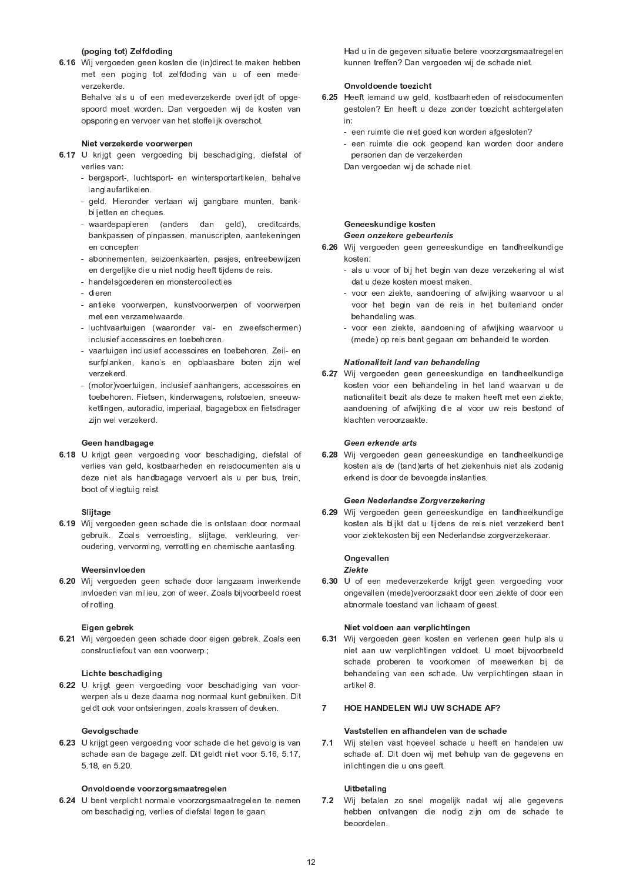## (poging tot) Zelfdoding

6.16 Wij vergoeden geen kosten die (in)direct te maken hebben met een poging tot zelfdoding van u of een medeverzekerde.

Behalve als u of een medeverzekerde overlijdt of opgespoord moet worden. Dan vergoeden wij de kosten van opsporing en vervoer van het stoffelijk overschot.

## Niet verzekerde voorwerpen

- 6.17 U krijgt geen vergoeding bij beschadiging, diefstal of verlies van:
	- bergsport-, luchtsport- en wintersportartikelen, behalve langlaufartikelen.
	- geld. Hieronder vertaan wij gangbare munten, bankbiljetten en cheques.
	- waardepapieren (anders dan geld), creditcards, bankpassen of pinpassen, manuscripten, aantekeningen en concepten
	- abonnementen, seizoenkaarten, pasjes, entreebewijzen en dergelijke die u niet nodig heeft tijdens de reis.
	- handelsgoederen en monstercollecties
	- dieren
	- antieke voorwerpen, kunstvoorwerpen of voorwerpen met een verzamelwaarde.
	- luchtvaartuigen (waaronder val- en zweefschermen) inclusief accessoires en toebehoren.
	- vaartuigen inclusief accessoires en toebehoren. Zeil- en surfplanken, kano's en opblaasbare boten zijn wel verzekerd.
	- (motor)voertuigen, inclusief aanhangers, accessoires en toebehoren. Fietsen, kinderwagens, rolstoelen, sneeuwkettingen, autoradio, imperiaal, bagagebox en fietsdrager zijn wel verzekerd.

## Geen handbagage

6.18 U krijgt geen vergoeding voor beschadiging, diefstal of verlies van geld, kostbaarheden en reisdocumenten als u deze niet als handbagage vervoert als u per bus, trein, boot of vliegtuig reist.

## Sliitage

6.19 Wij vergoeden geen schade die is ontstaan door normaal gebruik. Zoals verroesting, slijtage, verkleuring, veroudering, vervorming, verrotting en chemische aantasting.

## Weersinvloeden

6.20 Wij vergoeden geen schade door langzaam inwerkende invloeden van milieu, zon of weer. Zoals bijvoorbeeld roest of rotting.

## Eigen gebrek

6.21 Wij vergoeden geen schade door eigen gebrek. Zoals een constructiefout van een voorwerp.;

## Lichte beschadiging

6.22 U krijgt geen vergoeding voor beschadiging van voorwerpen als u deze daarna nog normaal kunt gebruiken. Dit geldt ook voor ontsieringen, zoals krassen of deuken.

## Gevolgschade

6.23 U krijgt geen vergoeding voor schade die het gevolg is van schade aan de bagage zelf. Dit geldt niet voor 5.16, 5.17, 5.18, en 5.20.

## Onvoldoende voorzorgsmaatregelen

6.24 U bent verplicht normale voorzorgsmaatregelen te nemen om beschadiging, verlies of diefstal tegen te gaan.

Had u in de gegeven situatie betere voorzorgsmaatregelen kunnen treffen? Dan vergoeden wij de schade niet.

## Onvoldoende to ezicht

- 6.25 Heeft iemand uw geld, kostbaarheden of reisdocumenten gestolen? En heeft u deze zonder toezicht achtergelaten  $in.$ 
	- een ruimte die niet goed kon worden afgesloten?
	- een ruimte die ook geopend kan worden door andere personen dan de verzekerden
	- Dan vergoeden wij de schade niet.

## Geneeskundige kosten Geen onzekere gebeurtenis

- 6.26 Wij vergoeden geen geneeskundige en tandheelkundige kosten:
	- als u voor of bij het begin van deze verzekering al wist dat u deze kosten moest maken.
	- voor een ziekte, aandoening of afwijking waarvoor u al voor het begin van de reis in het buitenland onder behandeling was.
	- voor een ziekte, aandoening of afwijking waarvoor u (mede) op reis bent gegaan om behandeld te worden.

## Nationaliteit land van behandeling

6.27 Wij vergoeden geen geneeskundige en tandheelkundige kosten voor een behandeling in het land waarvan u de nationaliteit bezit als deze te maken heeft met een ziekte. aandoening of afwijking die al voor uw reis bestond of klachten veroorzaakte.

## Geen erkende arts

6.28 Wij vergoeden geen geneeskundige en tandheelkundige kosten als de (tand) arts of het ziekenhuis niet als zodanig erkend is door de bevoegde instanties.

## Geen Nederlandse Zorgverzekering

6.29 Wij vergoeden geen geneeskundige en tandheelkundige kosten als blijkt dat u tijdens de reis niet verzekerd bent voor ziektekosten bij een Nederlandse zorgverzekeraar.

## Ongevallen

## Ziekte

6.30 U of een medeverzekerde krijgt geen vergoeding voor ongevallen (mede)veroorzaakt door een ziekte of door een abnormale toestand van lichaam of geest.

## Niet voldoen aan verplichtingen

6.31 Wij vergoeden geen kosten en verlenen geen hulp als u niet aan uw verplichtingen voldoet. U moet bijvoorbeeld schade proberen te voorkomen of meewerken bij de behandeling van een schade. Uw verplichtingen staan in artikel 8.

#### $\overline{7}$ HOE HANDELEN WIJ UW SCHADE AF?

## Vaststellen en afhandelen van de schade

7.1 Wij stellen vast hoeveel schade u heeft en handelen uw schade af. Dit doen wij met behulp van de gegevens en inlichtingen die u ons geeft.

## **Uitbetaling**

7.2 Wij betalen zo snel mogelijk nadat wij alle gegevens hebben ontvangen die nodig zijn om de schade te beoordelen.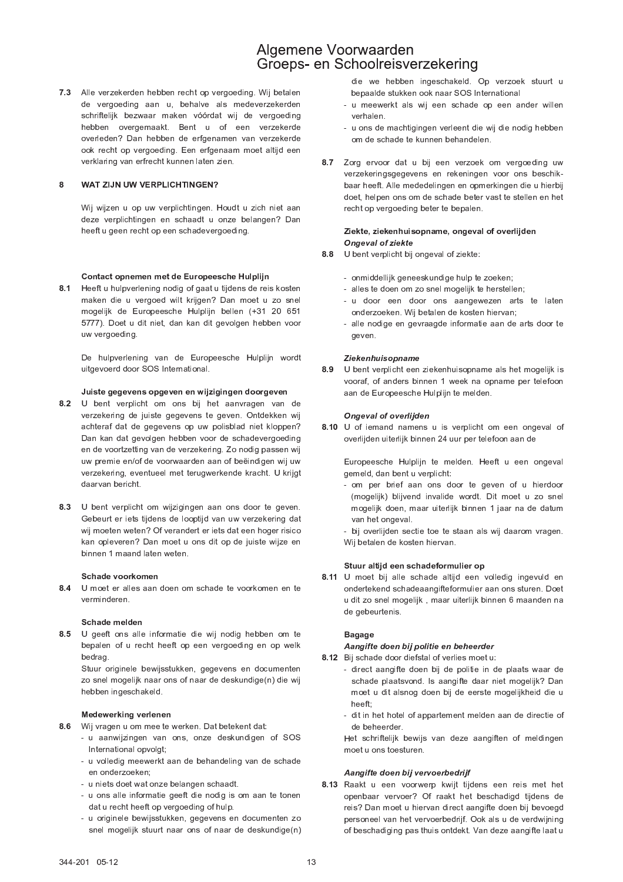7.3 Alle verzekerden hebben recht op vergoeding. Wij betalen de vergoeding aan u, behalve als medeverzekerden schriftelijk bezwaar maken vóórdat wij de vergoeding hebben overgemaakt. Bent u of een verzekerde overleden? Dan hebben de erfgenamen van verzekerde ook recht op vergoeding. Een erfgenaam moet altijd een verklaring van erfrecht kunnen laten zien.

### WAT ZIJN UW VERPLICHTINGEN? 8

Wij wijzen u op uw verplichtingen. Houdt u zich niet aan deze verplichtingen en schaadt u onze belangen? Dan heeft u geen recht op een schadevergoeding.

## Contact opnemen met de Europeesche Hulplijn

Heeft u hulpverlening nodig of gaat u tijdens de reis kosten  $8.1$ maken die u vergoed wilt krijgen? Dan moet u zo snel mogelijk de Europeesche Hulplijn bellen (+31 20 651 5777). Doet u dit niet, dan kan dit gevolgen hebben voor uw vergoeding.

De hulpverlening van de Europeesche Hulplijn wordt uitgevoerd door SOS International.

## Juiste gegevens opgeven en wijzigingen doorgeven

- 8.2 U bent verplicht om ons bij het aanvragen van de verzekering de juiste gegevens te geven. Ontdekken wij achteraf dat de gegevens op uw polisblad niet kloppen? Dan kan dat gevolgen hebben voor de schadevergoeding en de voortzetting van de verzekering. Zo nodig passen wij uw premie en/of de voorwaarden aan of beëindigen wij uw verzekering, eventueel met terugwerkende kracht. U krijgt daarvan bericht.
- 8.3 U bent verplicht om wijzigingen aan ons door te geven. Gebeurt er iets tijdens de looptijd van uw verzekering dat wij moeten weten? Of verandert er iets dat een hoger risico kan opleveren? Dan moet u ons dit op de juiste wijze en binnen 1 maand laten weten.

## Schade voorkomen

8.4 U moet er alles aan doen om schade te voorkomen en te verminderen.

## Schade melden

8.5 U geeft ons alle informatie die wij nodig hebben om te bepalen of u recht heeft op een vergoeding en op welk bedrag

Stuur originele bewijsstukken, gegevens en documenten zo snel mogelijk naar ons of naar de deskundige(n) die wij hebben ingeschakeld.

## Medewerking verlenen

- 8.6 Wij vragen u om mee te werken. Dat betekent dat:
	- u aanwijzingen van ons, onze deskundigen of SOS International opvolgt;
	- u volledig meewerkt aan de behandeling van de schade en onderzoeken:
	- u niets doet wat onze belangen schaadt.
	- u ons alle informatie geeft die nodig is om aan te tonen dat u recht heeft op vergoeding of hulp.
	- u originele bewijsstukken, gegevens en documenten zo snel mogelijk stuurt naar ons of naar de deskundige(n)

die we hebben ingeschakeld. Op verzoek stuurt u bepaalde stukken ook naar SOS International

- u meewerkt als wij een schade op een ander willen verhalen.
- u ons de machtigingen verleent die wij die nodig hebben om de schade te kunnen behandelen.
- Zorg ervoor dat u bij een verzoek om vergoeding uw 8.7 verzekeringsgegevens en rekeningen voor ons beschikbaar heeft. Alle mededelingen en opmerkingen die u hierbij doet, helpen ons om de schade beter vast te stellen en het recht op vergoeding beter te bepalen.

## Ziekte, ziekenhuisopname, ongeval of overlijden **Ongeval of ziekte**

- 8.8 U bent verplicht bij ongeval of ziekte:
	- onmiddellijk geneeskundige hulp te zoeken;
	- alles te doen om zo snel mogelijk te herstellen;
	- u door een door ons aangewezen arts te laten onderzoeken. Wij betalen de kosten hiervan;
	- alle nodige en gevraagde informatie aan de arts door te geven.

## Ziekenhuisopname

8.9 U bent verplicht een ziekenhuisopname als het mogelijk is vooraf, of anders binnen 1 week na opname per telefoon aan de Europeesche Hulplijn te melden.

## **Ongeval of overlijden**

8.10 U of iemand namens u is verplicht om een ongeval of overlijden uiterlijk binnen 24 uur per telefoon aan de

Europeesche Hulplijn te melden. Heeft u een ongeval gemeld, dan bent u verplicht:

- om per brief aan ons door te geven of u hierdoor (mogelijk) blijvend invalide wordt. Dit moet u zo snel mogelijk doen, maar uiterlijk binnen 1 jaar na de datum van het ongeval.
- bij overlijden sectie toe te staan als wij daarom vragen. Wij betalen de kosten hiervan.

## Stuur altijd een schadeformulier op

8.11 U moet bij alle schade altijd een volledig ingevuld en ondertekend schadeaangifteformulier aan ons sturen. Doet u dit zo snel mogelijk, maar uiterlijk binnen 6 maanden na de gebeurtenis.

## **Bagage**

## Aangifte doen bij politie en beheerder

- 8.12 Bij schade door diefstal of verlies moet u:
	- direct aangifte doen bij de politie in de plaats waar de schade plaatsvond. Is aangifte daar niet mogelijk? Dan moet u dit alsnog doen bij de eerste mogelijkheid die u heeft;
	- dit in het hotel of appartement melden aan de directie of de beheerder.

Het schriftelijk bewijs van deze aangiften of meldingen moet u ons toesturen.

## Aangifte doen bij vervoerbedrijf

8.13 Raakt u een voorwerp kwijt tijdens een reis met het openbaar vervoer? Of raakt het beschadigd tijdens de reis? Dan moet u hiervan direct aangifte doen bij bevoegd personeel van het vervoerbedrijf. Ook als u de verdwijning of beschadiging pas thuis ontdekt. Van deze aangifte laat u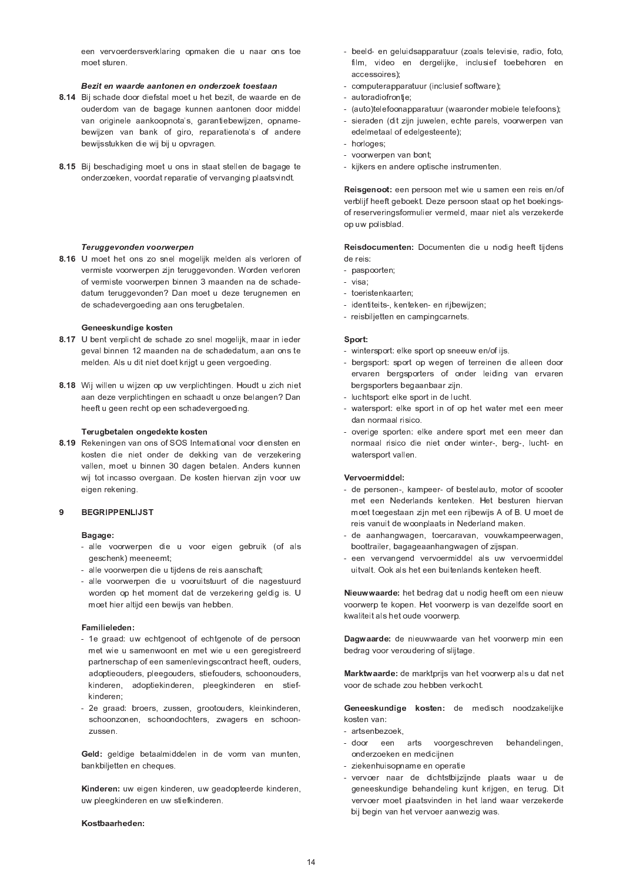een vervoerdersverklaring opmaken die u naar ons toe moet sturen

## Bezit en waarde aantonen en onderzoek toestaan

- 8.14 Bij schade door diefstal moet u het bezit, de waarde en de ouderdom van de bagage kunnen aantonen door middel van originele aankoopnota's, garantiebewijzen, opnamebewijzen van bank of giro, reparatienota's of andere bewijsstukken die wij bij u opvragen.
- 8.15 Bij beschadiging moet u ons in staat stellen de bagage te onderzoeken, voordat reparatie of vervanging plaatsvindt.

## Teruggevonden voorwerpen

8.16 U moet het ons zo snel mogelijk melden als verloren of vermiste voorwerpen zijn teruggevonden. Worden verloren of vermiste voorwerpen binnen 3 maanden na de schadedatum teruggevonden? Dan moet u deze terugnemen en de schadevergoeding aan ons terugbetalen.

## Geneeskundige kosten

- 8.17 U bent verplicht de schade zo snel mogelijk, maar in ieder geval binnen 12 maanden na de schadedatum, aan ons te melden. Als u dit niet doet krijgt u geen vergoeding.
- 8.18 Wij willen u wijzen op uw verplichtingen. Houdt u zich niet aan deze verplichtingen en schaadt u onze belangen? Dan heeft u geen recht op een schadevergoeding.

## Terugbetalen ongedekte kosten

8.19 Rekeningen van ons of SOS International voor diensten en kosten die niet onder de dekking van de verzekering vallen, moet u binnen 30 dagen betalen. Anders kunnen wij tot incasso overgaan. De kosten hiervan zijn voor uw eigen rekening.

#### **BEGRIPPENLIJST**  $\mathbf{Q}$

## Bagage:

- alle voorwerpen die u voor eigen gebruik (of als geschenk) meeneemt;
- alle voorwerpen die u tijdens de reis aanschaft;
- alle voorwerpen die u vooruitstuurt of die nagestuurd worden op het moment dat de verzekering geldig is. U moet hier altijd een bewijs van hebben.

## Familieleden:

- 1e graad: uw echtgenoot of echtgenote of de persoon met wie u samenwoont en met wie u een geregistreerd partnerschap of een samenlevingscontract heeft, ouders, adoptieouders, pleegouders, stiefouders, schoonouders, kinderen, adoptiekinderen, pleegkinderen en stiefkinderen:
- 2e graad: broers, zussen, grootouders, kleinkinderen, schoonzonen, schoondochters, zwagers en schoonzussen.

Geld: geldige betaalmiddelen in de vorm van munten, bankbiljetten en cheques.

Kinderen: uw eigen kinderen, uw geadopteerde kinderen, uw pleegkinderen en uw stiefkinderen.

Kostbaarheden:

- beeld- en geluidsapparatuur (zoals televisie, radio, foto, film, video en dergelijke, inclusief toebehoren en accessoires):
- computerapparatuur (inclusief software);
- autoradiofrontie,
- (auto)telefoonapparatuur (waaronder mobiele telefoons);
- sieraden (dit zijn juwelen, echte parels, voorwerpen van edelmetaal of edelgesteente);
- horloges:
- voorwerpen van bont;
- kijkers en andere optische instrumenten.

Reisgenoot: een persoon met wie u samen een reis en/of verblijf heeft geboekt. Deze persoon staat op het boekingsof reserveringsformulier vermeld, maar niet als verzekerde op uw polisblad.

Reisdocumenten: Documenten die u nodig heeft tijdens de reis:

- paspoorten;
- visa.
- toeristenkaarten;
- identiteits-, kenteken- en rijbewijzen;
- reisbiljetten en campingcarnets.

## Sport:

- wintersport: elke sport op sneeuw en/of ijs.
- bergsport: sport op wegen of terreinen die alleen door ervaren bergsporters of onder leiding van ervaren bergsporters begaanbaar zijn.
- luchtsport: elke sport in de lucht.
- watersport: elke sport in of op het water met een meer dan normaal risico.
- overige sporten: elke andere sport met een meer dan normaal risico die niet onder winter-, berg-, lucht- en watersport vallen.

## Vervoermiddel

- de personen-, kampeer- of bestelauto, motor of scooter met een Nederlands kenteken. Het besturen hiervan moet toegestaan zijn met een rijbewijs A of B. U moet de reis vanuit de woonplaats in Nederland maken.
- de aanhangwagen, toercarayan, youwkampeerwagen, boottrailer, bagageaanhangwagen of zijspan.
- een vervangend vervoermiddel als uw vervoermiddel uitvalt. Ook als het een buitenlands kenteken heeft.

Nieuwwaarde: het bedrag dat u nodig heeft om een nieuw voorwerp te kopen. Het voorwerp is van dezelfde soort en kwaliteit als het oude voorwerp.

Dagwaarde: de nieuwwaarde van het voorwerp min een bedrag voor veroudering of slijtage.

Marktwaarde: de marktprijs van het voorwerp als u dat net voor de schade zou hebben verkocht.

Geneeskundige kosten: de medisch noodzakelijke kosten van:

- artsenbezoek.
- door een arts voorgeschreven behandelingen, onderzoeken en medicijnen
- ziekenhuisopname en operatie
- vervoer naar de dichtstbijzijnde plaats waar u de geneeskundige behandeling kunt krijgen, en terug. Dit vervoer moet plaatsvinden in het land waar verzekerde bij begin van het vervoer aanwezig was.